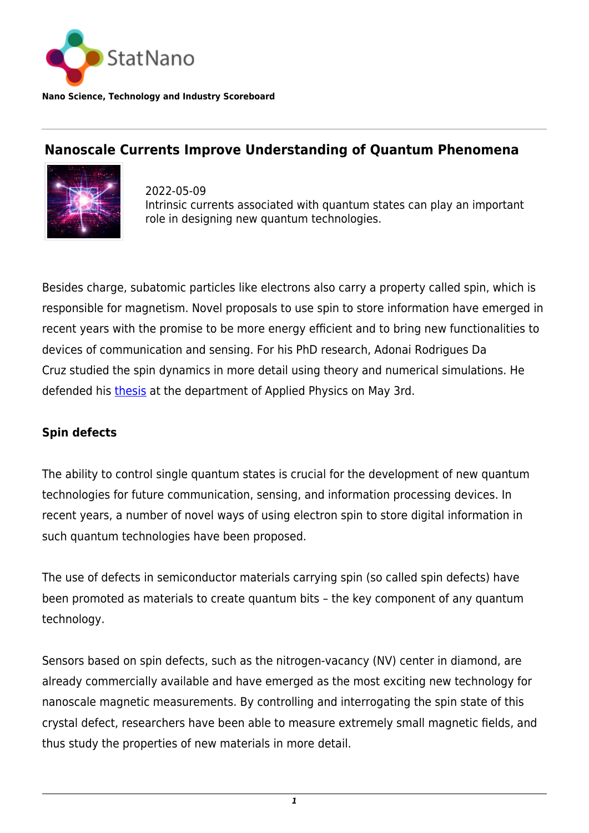

**Nano Science, Technology and Industry Scoreboard**

## **Nanoscale Currents Improve Understanding of Quantum Phenomena**



2022-05-09 Intrinsic currents associated with quantum states can play an important role in designing new quantum technologies.

Besides charge, subatomic particles like electrons also carry a property called spin, which is responsible for magnetism. Novel proposals to use spin to store information have emerged in recent years with the promise to be more energy efficient and to bring new functionalities to devices of communication and sensing. For his PhD research, Adonai Rodrigues Da Cruz studied the spin dynamics in more detail using theory and numerical simulations. He defended his [thesis](https://research.tue.nl/en/publications/theory-of-nanoscale-currents-and-effects-from-spin-orbit-coupling) at the department of Applied Physics on May 3rd.

## **Spin defects**

The ability to control single quantum states is crucial for the development of new quantum technologies for future communication, sensing, and information processing devices. In recent years, a number of novel ways of using electron spin to store digital information in such quantum technologies have been proposed.

The use of defects in semiconductor materials carrying spin (so called spin defects) have been promoted as materials to create quantum bits – the key component of any quantum technology.

Sensors based on spin defects, such as the nitrogen-vacancy (NV) center in diamond, are already commercially available and have emerged as the most exciting new technology for nanoscale magnetic measurements. By controlling and interrogating the spin state of this crystal defect, researchers have been able to measure extremely small magnetic fields, and thus study the properties of new materials in more detail.